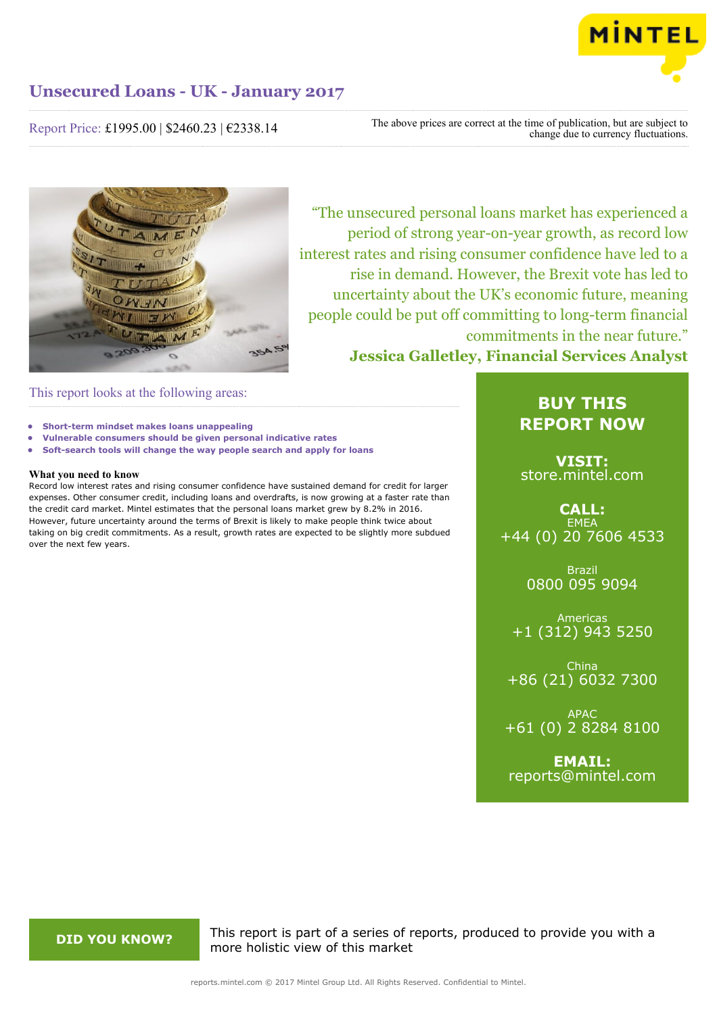

# Report Price: £1995.00 | \$2460.23 | €2338.14

The above prices are correct at the time of publication, but are subject to change due to currency fluctuations.



"The unsecured personal loans market has experienced a period of strong year-on-year growth, as record low interest rates and rising consumer confidence have led to a rise in demand. However, the Brexit vote has led to uncertainty about the UK's economic future, meaning people could be put off committing to long-term financial commitments in the near future." **Jessica Galletley, Financial Services Analyst**

This report looks at the following areas:

- **• Short-term mindset makes loans unappealing**
- **• Vulnerable consumers should be given personal indicative rates**
- **• Soft-search tools will change the way people search and apply for loans**

# **What you need to know**

Record low interest rates and rising consumer confidence have sustained demand for credit for larger expenses. Other consumer credit, including loans and overdrafts, is now growing at a faster rate than the credit card market. Mintel estimates that the personal loans market grew by 8.2% in 2016. However, future uncertainty around the terms of Brexit is likely to make people think twice about taking on big credit commitments. As a result, growth rates are expected to be slightly more subdued over the next few years.

# **BUY THIS REPORT NOW**

**VISIT:** [store.mintel.com](http://reports.mintel.com//display/store/792257/)

# **CALL: FMFA** +44 (0) 20 7606 4533

Brazil 0800 095 9094

Americas +1 (312) 943 5250

China +86 (21) 6032 7300

APAC +61 (0) 2 8284 8100

**EMAIL:** [reports@mintel.com](mailto:reports@mintel.com)

**DID YOU KNOW?** This report is part of a series of reports, produced to provide you with a more holistic view of this market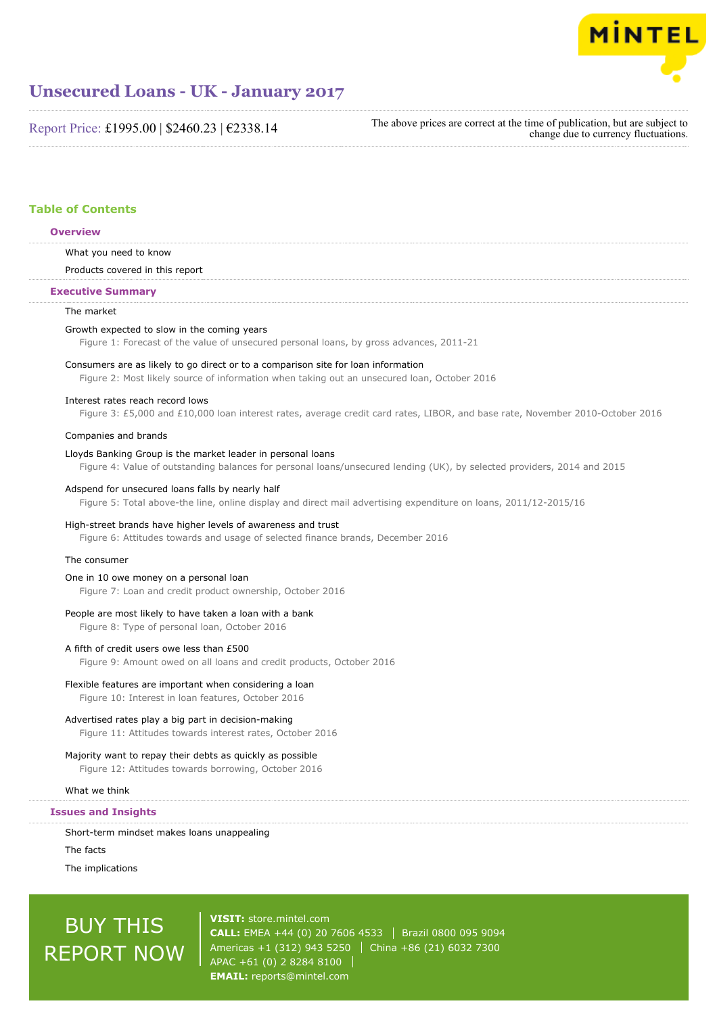

Report Price: £1995.00 | \$2460.23 | €2338.14

The above prices are correct at the time of publication, but are subject to change due to currency fluctuations.

# **Table of Contents**

## **Overview**

What you need to know

Products covered in this report

### **Executive Summary**

# The market

### Growth expected to slow in the coming years

Figure 1: Forecast of the value of unsecured personal loans, by gross advances, 2011-21

### Consumers are as likely to go direct or to a comparison site for loan information

Figure 2: Most likely source of information when taking out an unsecured loan, October 2016

### Interest rates reach record lows

Figure 3: £5,000 and £10,000 loan interest rates, average credit card rates, LIBOR, and base rate, November 2010-October 2016

### Companies and brands

### Lloyds Banking Group is the market leader in personal loans

Figure 4: Value of outstanding balances for personal loans/unsecured lending (UK), by selected providers, 2014 and 2015

### Adspend for unsecured loans falls by nearly half

Figure 5: Total above-the line, online display and direct mail advertising expenditure on loans, 2011/12-2015/16

### High-street brands have higher levels of awareness and trust

Figure 6: Attitudes towards and usage of selected finance brands, December 2016

# The consumer

### One in 10 owe money on a personal loan

Figure 7: Loan and credit product ownership, October 2016

# People are most likely to have taken a loan with a bank

Figure 8: Type of personal loan, October 2016

## A fifth of credit users owe less than £500

Figure 9: Amount owed on all loans and credit products, October 2016

### Flexible features are important when considering a loan

Figure 10: Interest in loan features, October 2016

### Advertised rates play a big part in decision-making

Figure 11: Attitudes towards interest rates, October 2016

## Majority want to repay their debts as quickly as possible

Figure 12: Attitudes towards borrowing, October 2016

### What we think

# **Issues and Insights**

Short-term mindset makes loans unappealing

The facts

The implications

# BUY THIS REPORT NOW

**VISIT:** [store.mintel.com](http://reports.mintel.com//display/store/792257/) **CALL:** EMEA +44 (0) 20 7606 4533 Brazil 0800 095 9094 Americas +1 (312) 943 5250 | China +86 (21) 6032 7300 APAC +61 (0) 2 8284 8100 **EMAIL:** [reports@mintel.com](mailto:reports@mintel.com)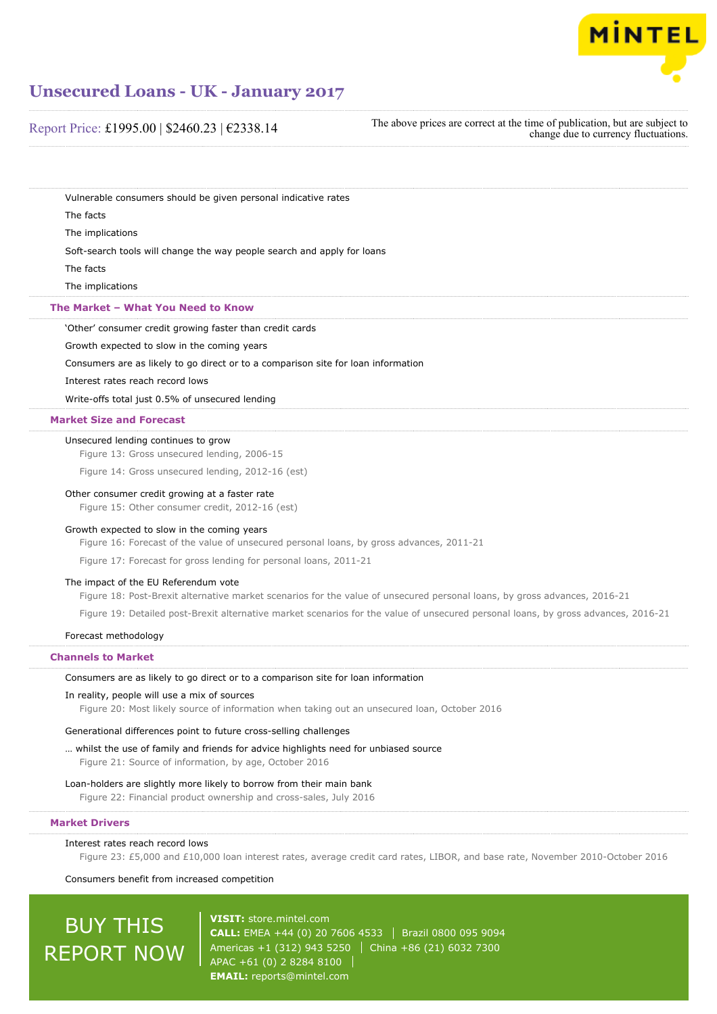

| Report Price: £1995.00   \$2460.23   €2338.14 |  |  |  |
|-----------------------------------------------|--|--|--|
|-----------------------------------------------|--|--|--|

The above prices are correct at the time of publication, but are subject to change due to currency fluctuations.

Vulnerable consumers should be given personal indicative rates

The facts

The implications

Soft-search tools will change the way people search and apply for loans

The facts

The implications

# **The Market – What You Need to Know**

'Other' consumer credit growing faster than credit cards

Growth expected to slow in the coming years

Consumers are as likely to go direct or to a comparison site for loan information

Interest rates reach record lows

Write-offs total just 0.5% of unsecured lending

# **Market Size and Forecast**

Unsecured lending continues to grow

Figure 13: Gross unsecured lending, 2006-15

Figure 14: Gross unsecured lending, 2012-16 (est)

### Other consumer credit growing at a faster rate

Figure 15: Other consumer credit, 2012-16 (est)

### Growth expected to slow in the coming years

Figure 16: Forecast of the value of unsecured personal loans, by gross advances, 2011-21

Figure 17: Forecast for gross lending for personal loans, 2011-21

### The impact of the EU Referendum vote

Figure 18: Post-Brexit alternative market scenarios for the value of unsecured personal loans, by gross advances, 2016-21

Figure 19: Detailed post-Brexit alternative market scenarios for the value of unsecured personal loans, by gross advances, 2016-21

# Forecast methodology

# **Channels to Market**

Consumers are as likely to go direct or to a comparison site for loan information

# In reality, people will use a mix of sources

Figure 20: Most likely source of information when taking out an unsecured loan, October 2016

## Generational differences point to future cross-selling challenges

… whilst the use of family and friends for advice highlights need for unbiased source Figure 21: Source of information, by age, October 2016

### Loan-holders are slightly more likely to borrow from their main bank

Figure 22: Financial product ownership and cross-sales, July 2016

### **Market Drivers**

### Interest rates reach record lows

Figure 23: £5,000 and £10,000 loan interest rates, average credit card rates, LIBOR, and base rate, November 2010-October 2016

# Consumers benefit from increased competition

# BUY THIS REPORT NOW

**VISIT:** [store.mintel.com](http://reports.mintel.com//display/store/792257/) **CALL:** EMEA +44 (0) 20 7606 4533 Brazil 0800 095 9094 Americas +1 (312) 943 5250 | China +86 (21) 6032 7300 APAC +61 (0) 2 8284 8100 **EMAIL:** [reports@mintel.com](mailto:reports@mintel.com)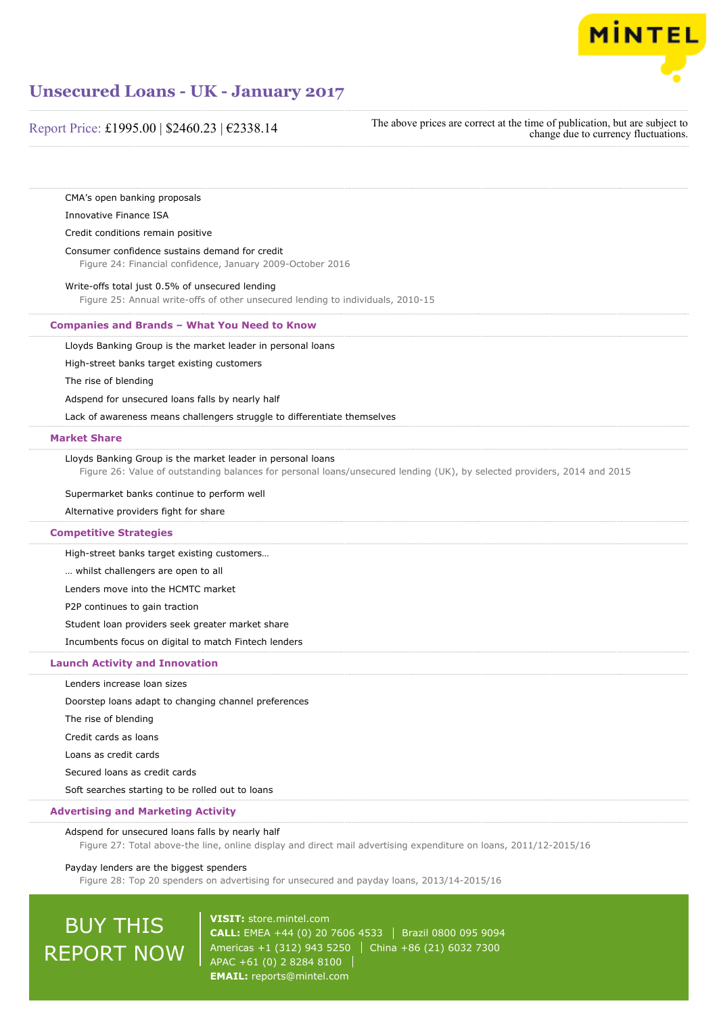

# Report Price: £1995.00 | \$2460.23 | €2338.14

The above prices are correct at the time of publication, but are subject to change due to currency fluctuations.

CMA's open banking proposals

Innovative Finance ISA

# Credit conditions remain positive

Consumer confidence sustains demand for credit

Figure 24: Financial confidence, January 2009-October 2016

# Write-offs total just 0.5% of unsecured lending

Figure 25: Annual write-offs of other unsecured lending to individuals, 2010-15

# **Companies and Brands – What You Need to Know**

Lloyds Banking Group is the market leader in personal loans

High-street banks target existing customers

The rise of blending

Adspend for unsecured loans falls by nearly half

Lack of awareness means challengers struggle to differentiate themselves

### **Market Share**

Lloyds Banking Group is the market leader in personal loans

Figure 26: Value of outstanding balances for personal loans/unsecured lending (UK), by selected providers, 2014 and 2015

## Supermarket banks continue to perform well

Alternative providers fight for share

### **Competitive Strategies**

High-street banks target existing customers…

… whilst challengers are open to all

Lenders move into the HCMTC market

P2P continues to gain traction

Student loan providers seek greater market share

Incumbents focus on digital to match Fintech lenders

# **Launch Activity and Innovation**

Lenders increase loan sizes

Doorstep loans adapt to changing channel preferences

The rise of blending

Credit cards as loans

Loans as credit cards

Secured loans as credit cards

Soft searches starting to be rolled out to loans

# **Advertising and Marketing Activity**

### Adspend for unsecured loans falls by nearly half

Figure 27: Total above-the line, online display and direct mail advertising expenditure on loans, 2011/12-2015/16

### Payday lenders are the biggest spenders

Figure 28: Top 20 spenders on advertising for unsecured and payday loans, 2013/14-2015/16

# BUY THIS REPORT NOW

**VISIT:** [store.mintel.com](http://reports.mintel.com//display/store/792257/) **CALL:** EMEA +44 (0) 20 7606 4533 Brazil 0800 095 9094 Americas +1 (312) 943 5250 | China +86 (21) 6032 7300 APAC +61 (0) 2 8284 8100 **EMAIL:** [reports@mintel.com](mailto:reports@mintel.com)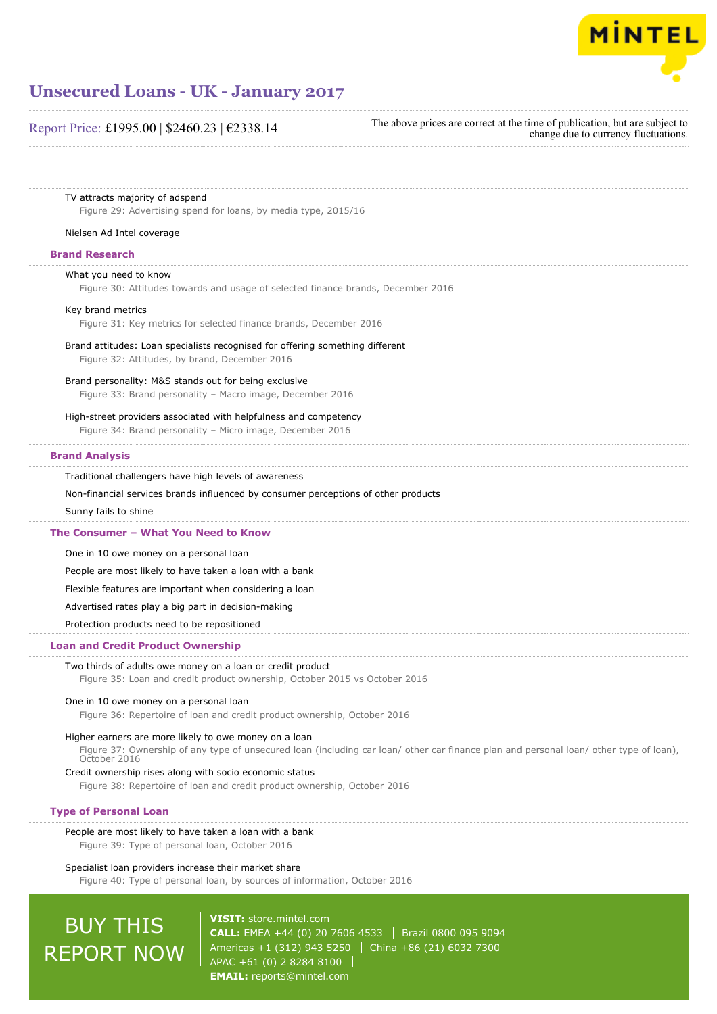

# Report Price: £1995.00 | \$2460.23 | €2338.14

The above prices are correct at the time of publication, but are subject to change due to currency fluctuations.

### TV attracts majority of adspend

Figure 29: Advertising spend for loans, by media type, 2015/16

### Nielsen Ad Intel coverage

# **Brand Research**

## What you need to know

Figure 30: Attitudes towards and usage of selected finance brands, December 2016

### Key brand metrics

Figure 31: Key metrics for selected finance brands, December 2016

# Brand attitudes: Loan specialists recognised for offering something different

Figure 32: Attitudes, by brand, December 2016

# Brand personality: M&S stands out for being exclusive

Figure 33: Brand personality – Macro image, December 2016

High-street providers associated with helpfulness and competency

Figure 34: Brand personality – Micro image, December 2016

# **Brand Analysis**

### Traditional challengers have high levels of awareness

Non-financial services brands influenced by consumer perceptions of other products

Sunny fails to shine

### **The Consumer – What You Need to Know**

One in 10 owe money on a personal loan

People are most likely to have taken a loan with a bank

Flexible features are important when considering a loan

Advertised rates play a big part in decision-making

Protection products need to be repositioned

# **Loan and Credit Product Ownership**

# Two thirds of adults owe money on a loan or credit product

Figure 35: Loan and credit product ownership, October 2015 vs October 2016

# One in 10 owe money on a personal loan

Figure 36: Repertoire of loan and credit product ownership, October 2016

# Higher earners are more likely to owe money on a loan

Figure 37: Ownership of any type of unsecured loan (including car loan/ other car finance plan and personal loan/ other type of loan), October 2016

Credit ownership rises along with socio economic status

Figure 38: Repertoire of loan and credit product ownership, October 2016

### **Type of Personal Loan**

### People are most likely to have taken a loan with a bank

Figure 39: Type of personal loan, October 2016

### Specialist loan providers increase their market share

Figure 40: Type of personal loan, by sources of information, October 2016

# BUY THIS REPORT NOW

**VISIT:** [store.mintel.com](http://reports.mintel.com//display/store/792257/) **CALL:** EMEA +44 (0) 20 7606 4533 | Brazil 0800 095 9094 Americas +1 (312) 943 5250 | China +86 (21) 6032 7300 APAC +61 (0) 2 8284 8100 **EMAIL:** [reports@mintel.com](mailto:reports@mintel.com)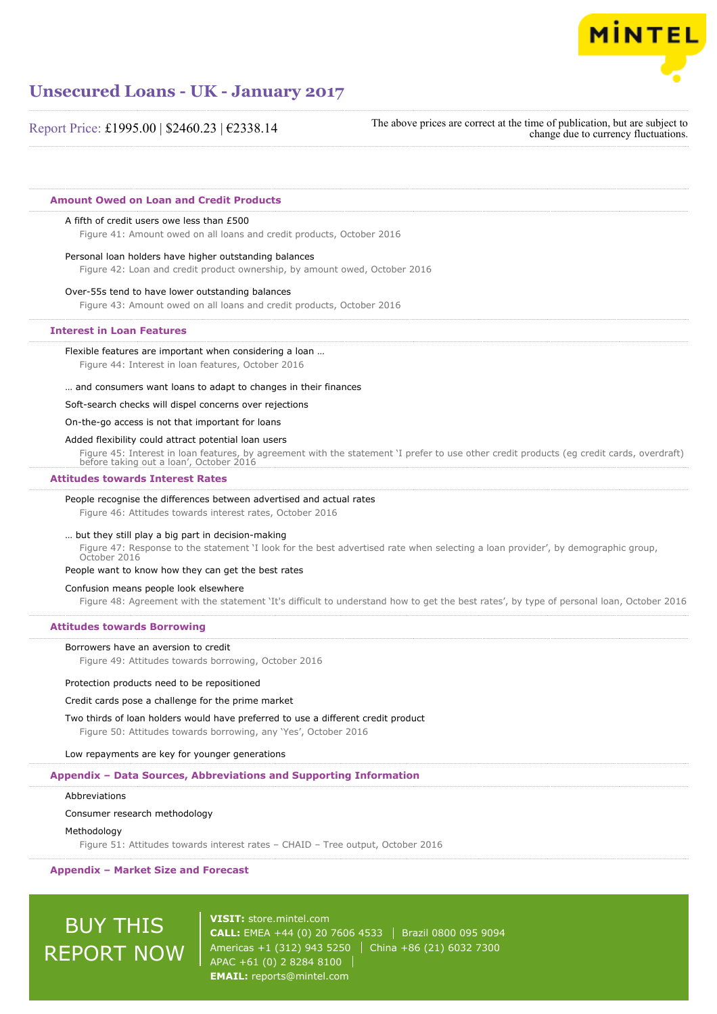

Report Price: £1995.00 | \$2460.23 | €2338.14

The above prices are correct at the time of publication, but are subject to change due to currency fluctuations.

# **Amount Owed on Loan and Credit Products**

### A fifth of credit users owe less than £500

Figure 41: Amount owed on all loans and credit products, October 2016

### Personal loan holders have higher outstanding balances

Figure 42: Loan and credit product ownership, by amount owed, October 2016

## Over-55s tend to have lower outstanding balances

Figure 43: Amount owed on all loans and credit products, October 2016

### **Interest in Loan Features**

Flexible features are important when considering a loan …

Figure 44: Interest in loan features, October 2016

… and consumers want loans to adapt to changes in their finances

### Soft-search checks will dispel concerns over rejections

On-the-go access is not that important for loans

# Added flexibility could attract potential loan users

Figure 45: Interest in loan features, by agreement with the statement 'I prefer to use other credit products (eg credit cards, overdraft) before taking out a loan', October 2016

### **Attitudes towards Interest Rates**

### People recognise the differences between advertised and actual rates

Figure 46: Attitudes towards interest rates, October 2016

### … but they still play a big part in decision-making

Figure 47: Response to the statement 'I look for the best advertised rate when selecting a loan provider', by demographic group, October 2016

### People want to know how they can get the best rates

Confusion means people look elsewhere Figure 48: Agreement with the statement 'It's difficult to understand how to get the best rates', by type of personal loan, October 2016

#### **Attitudes towards Borrowing**

#### Borrowers have an aversion to credit

Figure 49: Attitudes towards borrowing, October 2016

### Protection products need to be repositioned

#### Credit cards pose a challenge for the prime market

Two thirds of loan holders would have preferred to use a different credit product Figure 50: Attitudes towards borrowing, any 'Yes', October 2016

#### Low repayments are key for younger generations

### **Appendix – Data Sources, Abbreviations and Supporting Information**

#### Abbreviations

### Consumer research methodology

#### Methodology

Figure 51: Attitudes towards interest rates – CHAID – Tree output, October 2016

### **Appendix – Market Size and Forecast**

# **BUY THIS** REPORT NOW

**VISIT:** [store.mintel.com](http://reports.mintel.com//display/store/792257/) **CALL:** EMEA +44 (0) 20 7606 4533 | Brazil 0800 095 9094 Americas +1 (312) 943 5250 | China +86 (21) 6032 7300 APAC +61 (0) 2 8284 8100 **EMAIL:** [reports@mintel.com](mailto:reports@mintel.com)